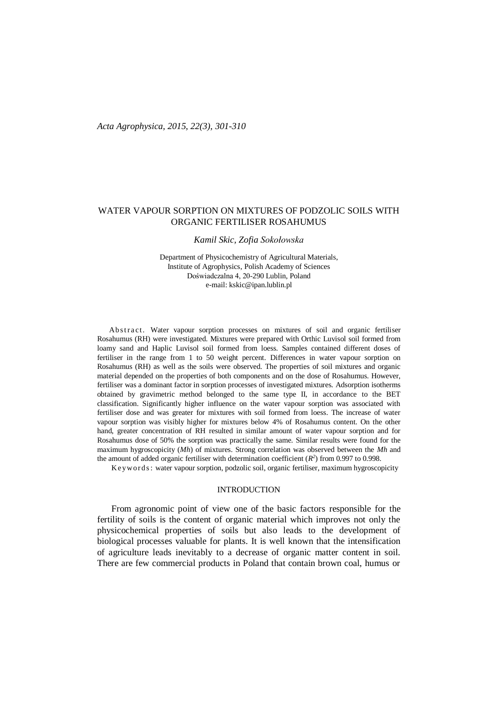# WATER VAPOUR SORPTION ON MIXTURES OF PODZOLIC SOILS WITH ORGANIC FERTILISER ROSAHUMUS

#### *Kamil Skic, Zofia Sokołowska*

Department of Physicochemistry of Agricultural Materials, Institute of Agrophysics, Polish Academy of Sciences Doświadczalna 4, 20-290 Lublin, Poland e-mail: kskic@ipan.lublin.pl

Ab stract. Water vapour sorption processes on mixtures of soil and organic fertiliser Rosahumus (RH) were investigated. Mixtures were prepared with Orthic Luvisol soil formed from loamy sand and Haplic Luvisol soil formed from loess. Samples contained different doses of fertiliser in the range from 1 to 50 weight percent. Differences in water vapour sorption on Rosahumus (RH) as well as the soils were observed. The properties of soil mixtures and organic material depended on the properties of both components and on the dose of Rosahumus. However, fertiliser was a dominant factor in sorption processes of investigated mixtures. Adsorption isotherms obtained by gravimetric method belonged to the same type II, in accordance to the BET classification. Significantly higher influence on the water vapour sorption was associated with fertiliser dose and was greater for mixtures with soil formed from loess. The increase of water vapour sorption was visibly higher for mixtures below 4% of Rosahumus content. On the other hand, greater concentration of RH resulted in similar amount of water vapour sorption and for Rosahumus dose of 50% the sorption was practically the same. Similar results were found for the maximum hygroscopicity (*Mh*) of mixtures. Strong correlation was observed between the *Mh* and the amount of added organic fertiliser with determination coefficient  $(R^2)$  from 0.997 to 0.998.

Ke ywords: water vapour sorption, podzolic soil, organic fertiliser, maximum hygroscopicity

## **INTRODUCTION**

From agronomic point of view one of the basic factors responsible for the fertility of soils is the content of organic material which improves not only the physicochemical properties of soils but also leads to the development of biological processes valuable for plants. It is well known that the intensification of agriculture leads inevitably to a decrease of organic matter content in soil. There are few commercial products in Poland that contain brown coal, humus or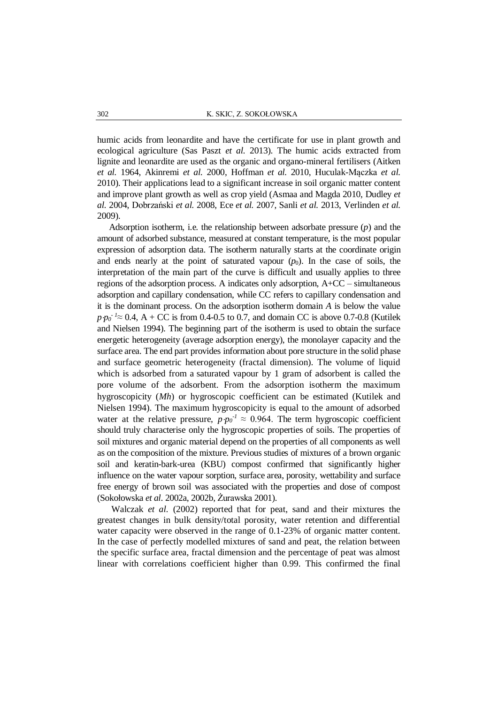humic acids from leonardite and have the certificate for use in plant growth and ecological agriculture (Sas Paszt *et al.* 2013). The humic acids extracted from lignite and leonardite are used as the organic and organo-mineral fertilisers (Aitken *et al.* 1964, Akinremi *et al.* 2000, Hoffman *et al.* 2010, Huculak-Mączka *et al.* 2010). Their applications lead to a significant increase in soil organic matter content and improve plant growth as well as crop yield (Asmaa and Magda 2010, Dudley *et al.* 2004, Dobrzański *et al.* 2008, Ece *et al.* 2007, Sanli *et al.* 2013, Verlinden *et al.* 2009).

Adsorption isotherm, i.e. the relationship between adsorbate pressure (*p*) and the amount of adsorbed substance, measured at constant temperature, is the most popular expression of adsorption data. The isotherm naturally starts at the coordinate origin and ends nearly at the point of saturated vapour  $(p_0)$ . In the case of soils, the interpretation of the main part of the curve is difficult and usually applies to three regions of the adsorption process. A indicates only adsorption, A+CC – simultaneous adsorption and capillary condensation, while CC refers to capillary condensation and it is the dominant process. On the adsorption isotherm domain *A* is below the value  $p p_0^{-1} \approx 0.4$ , A + CC is from 0.4-0.5 to 0.7, and domain CC is above 0.7-0.8 (Kutilek and Nielsen 1994). The beginning part of the isotherm is used to obtain the surface energetic heterogeneity (average adsorption energy), the monolayer capacity and the surface area. The end part provides information about pore structure in the solid phase and surface geometric heterogeneity (fractal dimension). The volume of liquid which is adsorbed from a saturated vapour by 1 gram of adsorbent is called the pore volume of the adsorbent. From the adsorption isotherm the maximum hygroscopicity (*Mh*) or hygroscopic coefficient can be estimated (Kutilek and Nielsen 1994). The maximum hygroscopicity is equal to the amount of adsorbed water at the relative pressure,  $p p_0^1 \approx 0.964$ . The term hygroscopic coefficient should truly characterise only the hygroscopic properties of soils. The properties of soil mixtures and organic material depend on the properties of all components as well as on the composition of the mixture. Previous studies of mixtures of a brown organic soil and keratin-bark-urea (KBU) compost confirmed that significantly higher influence on the water vapour sorption, surface area, porosity, wettability and surface free energy of brown soil was associated with the properties and dose of compost (Sokołowska *et al*. 2002a, 2002b, Żurawska 2001).

Walczak *et al.* (2002) reported that for peat, sand and their mixtures the greatest changes in bulk density/total porosity, water retention and differential water capacity were observed in the range of 0.1-23% of organic matter content. In the case of perfectly modelled mixtures of sand and peat, the relation between the specific surface area, fractal dimension and the percentage of peat was almost linear with correlations coefficient higher than 0.99. This confirmed the final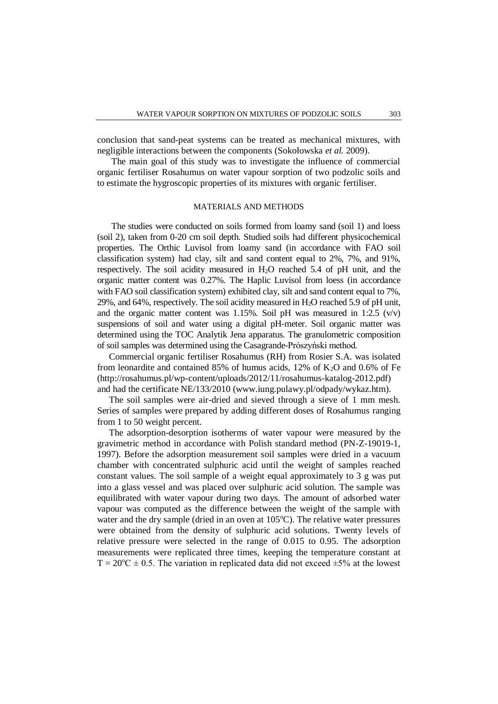conclusion that sand-peat systems can be treated as mechanical mixtures, with negligible interactions between the components (Sokołowska *et al.* 2009).

The main goal of this study was to investigate the influence of commercial organic fertiliser Rosahumus on water vapour sorption of two podzolic soils and to estimate the hygroscopic properties of its mixtures with organic fertiliser.

#### MATERIALS AND METHODS

The studies were conducted on soils formed from loamy sand (soil 1) and loess (soil 2), taken from 0-20 cm soil depth. Studied soils had different physicochemical properties. The Orthic Luvisol from loamy sand (in accordance with FAO soil classification system) had clay, silt and sand content equal to 2%, 7%, and 91%, respectively. The soil acidity measured in H2O reached 5.4 of pH unit, and the organic matter content was 0.27%. The Haplic Luvisol from loess (in accordance with FAO soil classification system) exhibited clay, silt and sand content equal to 7%, 29%, and 64%, respectively. The soil acidity measured in H2O reached 5.9 of pH unit, and the organic matter content was 1.15%. Soil pH was measured in 1:2.5  $(v/v)$ suspensions of soil and water using a digital pH-meter. Soil organic matter was determined using the TOC Analytik Jena apparatus. The granulometric composition of soil samples was determined using the Casagrande-Prószyński method.

Commercial organic fertiliser Rosahumus (RH) from Rosier S.A. was isolated from leonardite and contained 85% of humus acids, 12% of  $K_2O$  and 0.6% of Fe (http://rosahumus.pl/wp-content/uploads/2012/11/rosahumus-katalog-2012.pdf) and had the certificate NE/133/2010 (www.iung.pulawy.pl/odpady/wykaz.htm).

The soil samples were air-dried and sieved through a sieve of 1 mm mesh. Series of samples were prepared by adding different doses of Rosahumus ranging from 1 to 50 weight percent.

The adsorption-desorption isotherms of water vapour were measured by the gravimetric method in accordance with Polish standard method (PN-Z-19019-1, 1997). Before the adsorption measurement soil samples were dried in a vacuum chamber with concentrated sulphuric acid until the weight of samples reached constant values. The soil sample of a weight equal approximately to 3 g was put into a glass vessel and was placed over sulphuric acid solution. The sample was equilibrated with water vapour during two days. The amount of adsorbed water vapour was computed as the difference between the weight of the sample with water and the dry sample (dried in an oven at  $105^{\circ}$ C). The relative water pressures were obtained from the density of sulphuric acid solutions. Twenty levels of relative pressure were selected in the range of 0.015 to 0.95. The adsorption measurements were replicated three times, keeping the temperature constant at  $T = 20^{\circ}\text{C} \pm 0.5$ . The variation in replicated data did not exceed  $\pm 5\%$  at the lowest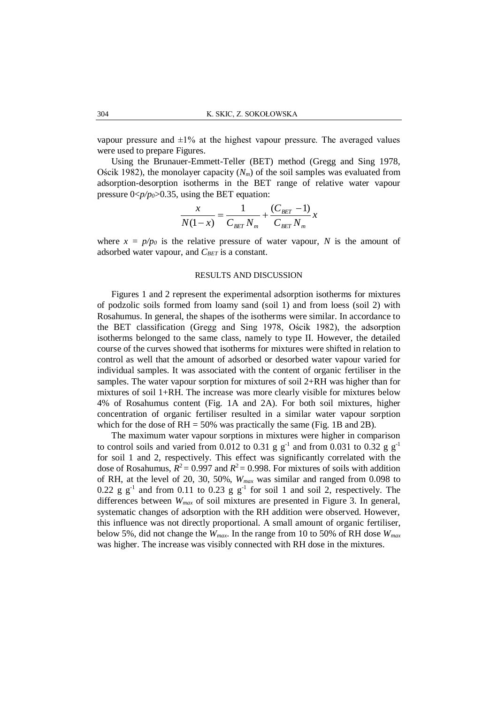vapour pressure and  $\pm 1\%$  at the highest vapour pressure. The averaged values were used to prepare Figures.

Using the Brunauer-Emmett-Teller (BET) method (Gregg and Sing 1978, Ościk 1982), the monolayer capacity  $(N_m)$  of the soil samples was evaluated from adsorption-desorption isotherms in the BET range of relative water vapour pressure  $0 \le p/p_0 \ge 0.35$ , using the BET equation:

$$
\frac{x}{N(1-x)} = \frac{1}{C_{BET} N_m} + \frac{(C_{BET} - 1)}{C_{BET} N_m} x
$$

where  $x = p/p_0$  is the relative pressure of water vapour, N is the amount of adsorbed water vapour, and *CBET* is a constant.

### RESULTS AND DISCUSSION

Figures 1 and 2 represent the experimental adsorption isotherms for mixtures of podzolic soils formed from loamy sand (soil 1) and from loess (soil 2) with Rosahumus. In general, the shapes of the isotherms were similar. In accordance to the BET classification (Gregg and Sing 1978, Ościk 1982), the adsorption isotherms belonged to the same class, namely to type II. However, the detailed course of the curves showed that isotherms for mixtures were shifted in relation to control as well that the amount of adsorbed or desorbed water vapour varied for individual samples. It was associated with the content of organic fertiliser in the samples. The water vapour sorption for mixtures of soil 2+RH was higher than for mixtures of soil 1+RH. The increase was more clearly visible for mixtures below 4% of Rosahumus content (Fig. 1A and 2A). For both soil mixtures, higher concentration of organic fertiliser resulted in a similar water vapour sorption which for the dose of RH = 50% was practically the same (Fig. 1B and 2B).

The maximum water vapour sorptions in mixtures were higher in comparison to control soils and varied from 0.012 to 0.31 g  $g^{-1}$  and from 0.031 to 0.32 g  $g^{-1}$ for soil 1 and 2, respectively. This effect was significantly correlated with the dose of Rosahumus,  $R^2 = 0.997$  and  $R^2 = 0.998$ . For mixtures of soils with addition of RH, at the level of 20, 30, 50%, *Wmax* was similar and ranged from 0.098 to 0.22 g  $g^{-1}$  and from 0.11 to 0.23 g  $g^{-1}$  for soil 1 and soil 2, respectively. The differences between *Wmax* of soil mixtures are presented in Figure 3. In general, systematic changes of adsorption with the RH addition were observed. However, this influence was not directly proportional. A small amount of organic fertiliser, below 5%, did not change the *Wmax*. In the range from 10 to 50% of RH dose *Wmax* was higher. The increase was visibly connected with RH dose in the mixtures.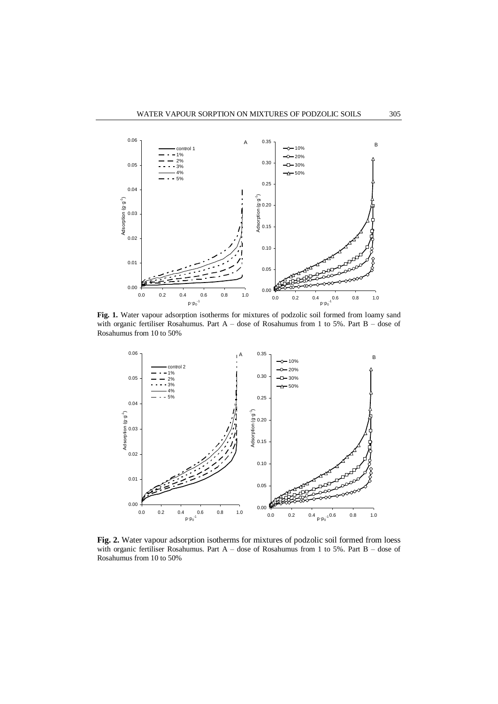

**Fig. 1.** Water vapour adsorption isotherms for mixtures of podzolic soil formed from loamy sand with organic fertiliser Rosahumus. Part A – dose of Rosahumus from 1 to 5%. Part B – dose of Rosahumus from 10 to 50%



**Fig. 2.** Water vapour adsorption isotherms for mixtures of podzolic soil formed from loess with organic fertiliser Rosahumus. Part A – dose of Rosahumus from 1 to 5%. Part B – dose of Rosahumus from 10 to 50%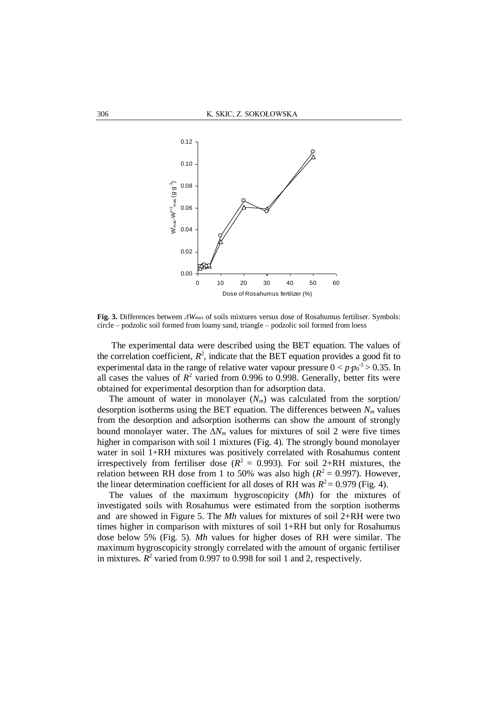

**Fig. 3.** Differences between *ΔWmax* of soils mixtures versus dose of Rosahumus fertiliser. Symbols: circle – podzolic soil formed from loamy sand, triangle – podzolic soil formed from loess

The experimental data were described using the BET equation. The values of the correlation coefficient,  $R^2$ , indicate that the BET equation provides a good fit to experimental data in the range of relative water vapour pressure  $0 < p p_0^{-1} > 0.35$ . In all cases the values of  $R^2$  varied from 0.996 to 0.998. Generally, better fits were obtained for experimental desorption than for adsorption data.

The amount of water in monolayer  $(N_m)$  was calculated from the sorption/ desorption isotherms using the BET equation. The differences between  $N<sub>m</sub>$  values from the desorption and adsorption isotherms can show the amount of strongly bound monolayer water. The  $\Delta N_m$  values for mixtures of soil 2 were five times higher in comparison with soil 1 mixtures (Fig. 4). The strongly bound monolayer water in soil 1+RH mixtures was positively correlated with Rosahumus content irrespectively from fertiliser dose  $(R^2 = 0.993)$ . For soil 2+RH mixtures, the relation between RH dose from 1 to 50% was also high  $(R^2 = 0.997)$ . However, the linear determination coefficient for all doses of RH was  $R^2 = 0.979$  (Fig. 4).

The values of the maximum hygroscopicity (*Mh*) for the mixtures of investigated soils with Rosahumus were estimated from the sorption isotherms and are showed in Figure 5. The *Mh* values for mixtures of soil 2+RH were two times higher in comparison with mixtures of soil 1+RH but only for Rosahumus dose below 5% (Fig. 5). *Mh* values for higher doses of RH were similar. The maximum hygroscopicity strongly correlated with the amount of organic fertiliser in mixtures.  $R^2$  varied from 0.997 to 0.998 for soil 1 and 2, respectively.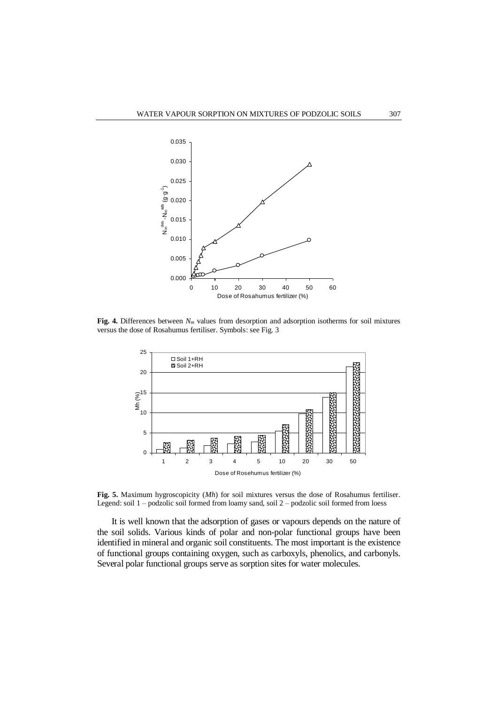

**Fig. 4.** Differences between *N<sup>m</sup>* values from desorption and adsorption isotherms for soil mixtures versus the dose of Rosahumus fertiliser. Symbols: see Fig. 3



**Fig. 5.** Maximum hygroscopicity (*Mh*) for soil mixtures versus the dose of Rosahumus fertiliser. Legend: soil 1 – podzolic soil formed from loamy sand, soil 2 – podzolic soil formed from loess

It is well known that the adsorption of gases or vapours depends on the nature of the soil solids. Various kinds of polar and non-polar functional groups have been identified in mineral and organic soil constituents. The most important is the existence of functional groups containing oxygen, such as carboxyls, phenolics, and carbonyls. Several polar functional groups serve as sorption sites for water molecules.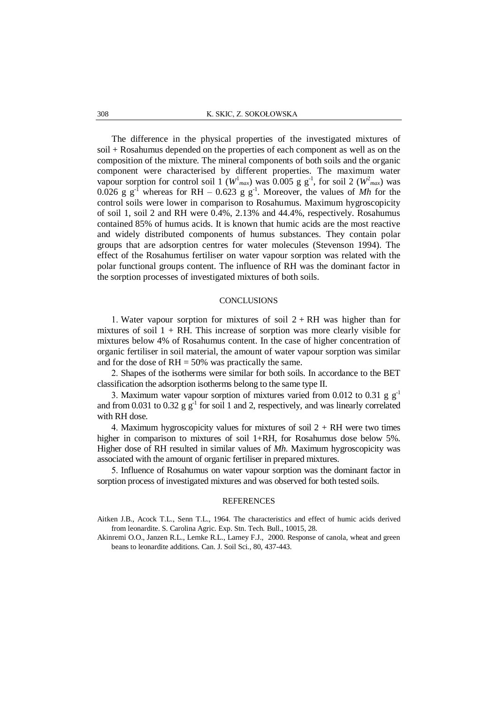The difference in the physical properties of the investigated mixtures of soil + Rosahumus depended on the properties of each component as well as on the composition of the mixture. The mineral components of both soils and the organic component were characterised by different properties. The maximum water vapour sorption for control soil 1 ( $W<sup>1</sup>$  max) was 0.005 g g<sup>-1</sup>, for soil 2 ( $W<sup>2</sup>$  max) was 0.026 g  $g^{-1}$  whereas for RH – 0.623 g  $g^{-1}$ . Moreover, the values of *Mh* for the control soils were lower in comparison to Rosahumus. Maximum hygroscopicity of soil 1, soil 2 and RH were 0.4%, 2.13% and 44.4%, respectively. Rosahumus contained 85% of humus acids. It is known that humic acids are the most reactive and widely distributed components of humus substances. They contain polar groups that are adsorption centres for water molecules (Stevenson 1994). The effect of the Rosahumus fertiliser on water vapour sorption was related with the polar functional groups content. The influence of RH was the dominant factor in the sorption processes of investigated mixtures of both soils.

### **CONCLUSIONS**

1. Water vapour sorption for mixtures of soil  $2 + RH$  was higher than for mixtures of soil  $1 + RH$ . This increase of sorption was more clearly visible for mixtures below 4% of Rosahumus content. In the case of higher concentration of organic fertiliser in soil material, the amount of water vapour sorption was similar and for the dose of  $RH = 50\%$  was practically the same.

2. Shapes of the isotherms were similar for both soils. In accordance to the BET classification the adsorption isotherms belong to the same type II.

3. Maximum water vapour sorption of mixtures varied from 0.012 to 0.31 g  $g^{-1}$ and from 0.031 to 0.32  $g g^{-1}$  for soil 1 and 2, respectively, and was linearly correlated with RH dose.

4. Maximum hygroscopicity values for mixtures of soil  $2 + RH$  were two times higher in comparison to mixtures of soil 1+RH, for Rosahumus dose below 5%. Higher dose of RH resulted in similar values of *Mh*. Maximum hygroscopicity was associated with the amount of organic fertiliser in prepared mixtures.

5. Influence of Rosahumus on water vapour sorption was the dominant factor in sorption process of investigated mixtures and was observed for both tested soils.

#### REFERENCES

Aitken J.B., Acock T.L., Senn T.L., 1964. The characteristics and effect of humic acids derived from leonardite. S. Carolina Agric. Exp. Stn. Tech. Bull., 10015, 28.

Akinremi O.O., Janzen R.L., Lemke R.L., Larney F.J., 2000. Response of canola, wheat and green beans to leonardite additions. Can. J. Soil Sci., 80, 437-443.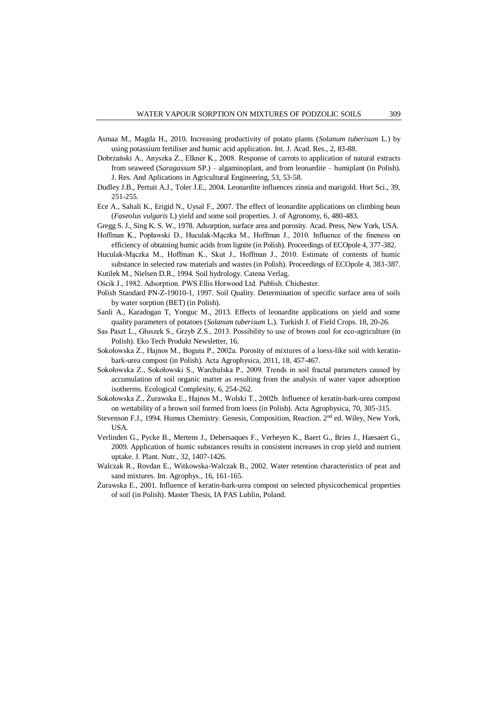- Asmaa M., Magda H., 2010. Increasing productivity of potato plants (*Solanum tuberisum* L.) by using potassium fertiliser and humic acid application. Int. J. Acad. Res., 2, 83-88.
- Dobrzański A., Anyszka Z., Elkner K., 2008. Response of carrots to application of natural extracts from seaweed (*Saragassum* SP.) – algaminoplant, and from leonardite – humiplant (in Polish). J. Res. And Aplications in Agricultural Engineering, 53, 53-58.
- Dudley J.B., Pertuit A.J., Toler J.E., 2004. Leonardite influences zinnia and marigold. Hort Sci., 39, 251-255.
- Ece A., Saltali K., Erigid N., Uysal F., 2007. The effect of leonardite applications on climbing bean (*Faseolus vulgaris* L) yield and some soil properties. J. of Agronomy, 6, 480-483.
- Gregg S. J., Sing K. S. W., 1978. Adsorption, surface area and porosity. Acad. Press, New York, USA. Hoffman K., Popławski D., Huculak-Mączka M., Hoffman J., 2010. Influence of the fineness on efficiency of obtaining humic acids from lignite (in Polish). Proceedings of ECOpole 4, 377-382.
- Huculak-Mączka M., Hoffman K., Skut J., Hoffman J., 2010. Estimate of contents of humic substance in selected raw materials and wastes (in Polish). Proceedings of ECOpole 4, 383-387.
- Kutilek M., Nielsen D.R., 1994. Soil hydrology. Catena Verlag.
- Ościk J., 1982. Adsorption. PWS Ellis Horwood Ltd. Publish. Chichester.
- Polish Standard PN-Z-19010-1, 1997. Soil Quality. Determination of specific surface area of soils by water sorption (BET) (in Polish).
- Sanli A., Karadogan T, Yonguc M., 2013. Effects of leonardite applications on yield and some quality parameters of potatoes (*Solanum tuberisum* L.). Turkish J. of Field Crops. 18, 20-26.
- Sas Paszt L., Głuszek S., Grzyb Z.S., 2013. Possibility to use of brown coal for eco-agriculture (in Polish). Eko Tech Produkt Newsletter, 16.
- Sokołowska Z., Hajnos M., Boguta P., 2002a. Porosity of mixtures of a loess-like soil with keratinbark-urea compost (in Polish). Acta Agrophysica, 2011, 18, 457-467.
- Sokołowska Z., Sokołowski S., Warchulska P., 2009. Trends in soil fractal parameters caused by accumulation of soil organic matter as resulting from the analysis of water vapor adsorption isotherms. Ecological Complexity, 6, 254-262.
- Sokołowska Z., Żurawska E., Hajnos M., Wolski T., 2002b. Influence of keratin-bark-urea compost on wettability of a brown soil formed from loess (in Polish). Acta Agrophysica, 70, 305-315.
- Stevenson F.J., 1994. Humus Chemistry. Genesis, Composition, Reaction. 2nd ed. Wiley, New York, **USA**
- Verlinden G., Pycke B., Mertens J., Debersaques F., Verheyen K., Baert G., Bries J., Haesaert G., 2009. Application of humic substances results in consistent increases in crop yield and nutrient uptake. J. Plant. Nutr., 32, 1407-1426.
- Walczak R., Rovdan E., Witkowska-Walczak B., 2002. Water retention characteristics of peat and sand mixtures. Int. Agrophys., 16, 161-165.
- Żurawska E., 2001. Influence of keratin-bark-urea compost on selected physicochemical properties of soil (in Polish). Master Thesis, IA PAS Lublin, Poland.